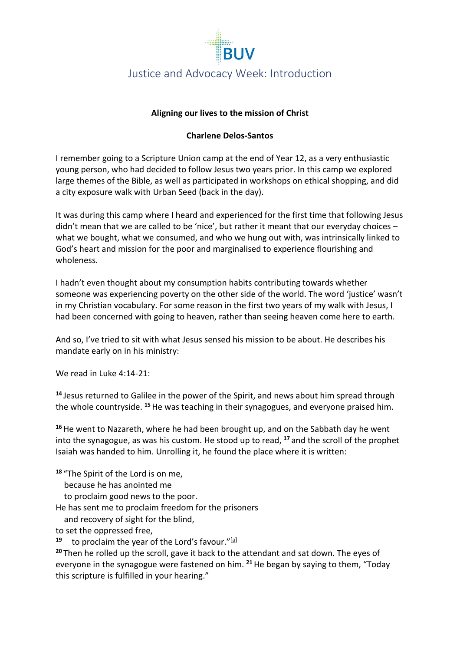

## **Aligning our lives to the mission of Christ**

### **Charlene Delos-Santos**

I remember going to a Scripture Union camp at the end of Year 12, as a very enthusiastic young person, who had decided to follow Jesus two years prior. In this camp we explored large themes of the Bible, as well as participated in workshops on ethical shopping, and did a city exposure walk with Urban Seed (back in the day).

It was during this camp where I heard and experienced for the first time that following Jesus didn't mean that we are called to be 'nice', but rather it meant that our everyday choices – what we bought, what we consumed, and who we hung out with, was intrinsically linked to God's heart and mission for the poor and marginalised to experience flourishing and wholeness.

I hadn't even thought about my consumption habits contributing towards whether someone was experiencing poverty on the other side of the world. The word 'justice' wasn't in my Christian vocabulary. For some reason in the first two years of my walk with Jesus, I had been concerned with going to heaven, rather than seeing heaven come here to earth.

And so, I've tried to sit with what Jesus sensed his mission to be about. He describes his mandate early on in his ministry:

We read in Luke 4:14-21:

**<sup>14</sup>** Jesus returned to Galilee in the power of the Spirit, and news about him spread through the whole countryside. **<sup>15</sup>**He was teaching in their synagogues, and everyone praised him.

**<sup>16</sup>**He went to Nazareth, where he had been brought up, and on the Sabbath day he went into the synagogue, as was his custom. He stood up to read, **<sup>17</sup>** and the scroll of the prophet Isaiah was handed to him. Unrolling it, he found the place where it is written:

**<sup>18</sup>** "The Spirit of the Lord is on me,

because he has anointed me

to proclaim good news to the poor.

He has sent me to proclaim freedom for the prisoners

and recovery of sight for the blind,

to set the oppressed free,

**<sup>19</sup>** to proclaim the year of the Lord's favour."[a]

**<sup>20</sup>** Then he rolled up the scroll, gave it back to the attendant and sat down. The eyes of everyone in the synagogue were fastened on him. **<sup>21</sup>**He began by saying to them, "Today this scripture is fulfilled in your hearing."